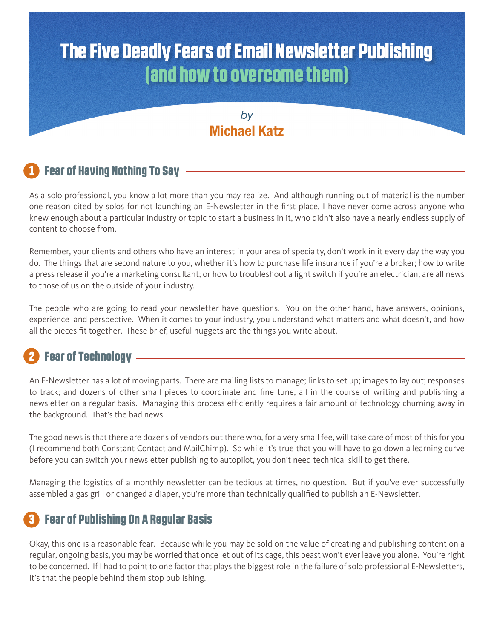# The Five Deadly Fears of Email Newsletter Publishing (and how to overcome them)

#### *by* **Michael Katz**

# **Fear of Having Nothing To Say**

As a solo professional, you know a lot more than you may realize. And although running out of material is the number one reason cited by solos for not launching an E-Newsletter in the first place, I have never come across anyone who knew enough about a particular industry or topic to start a business in it, who didn't also have a nearly endless supply of content to choose from.

Remember, your clients and others who have an interest in your area of specialty, don't work in it every day the way you do. The things that are second nature to you, whether it's how to purchase life insurance if you're a broker; how to write a press release if you're a marketing consultant; or how to troubleshoot a light switch if you're an electrician; are all news to those of us on the outside of your industry.

The people who are going to read your newsletter have questions. You on the other hand, have answers, opinions, experience and perspective. When it comes to your industry, you understand what matters and what doesn't, and how all the pieces fit together. These brief, useful nuggets are the things you write about.

# **Fear of Technology –**

An E-Newsletter has a lot of moving parts. There are mailing lists to manage; links to set up; images to lay out; responses to track; and dozens of other small pieces to coordinate and fine tune, all in the course of writing and publishing a newsletter on a regular basis. Managing this process efficiently requires a fair amount of technology churning away in the background. That's the bad news.

The good news is that there are dozens of vendors out there who, for a very small fee, will take care of most of this for you (I recommend both Constant Contact and MailChimp). So while it's true that you will have to go down a learning curve before you can switch your newsletter publishing to autopilot, you don't need technical skill to get there.

Managing the logistics of a monthly newsletter can be tedious at times, no question. But if you've ever successfully assembled a gas grill or changed a diaper, you're more than technically qualified to publish an E-Newsletter.

## 3 Fear of Publishing On A Regular Basis

Okay, this one is a reasonable fear. Because while you may be sold on the value of creating and publishing content on a regular, ongoing basis, you may be worried that once let out of its cage, this beast won't ever leave you alone. You're right to be concerned. If I had to point to one factor that plays the biggest role in the failure of solo professional E-Newsletters, it's that the people behind them stop publishing.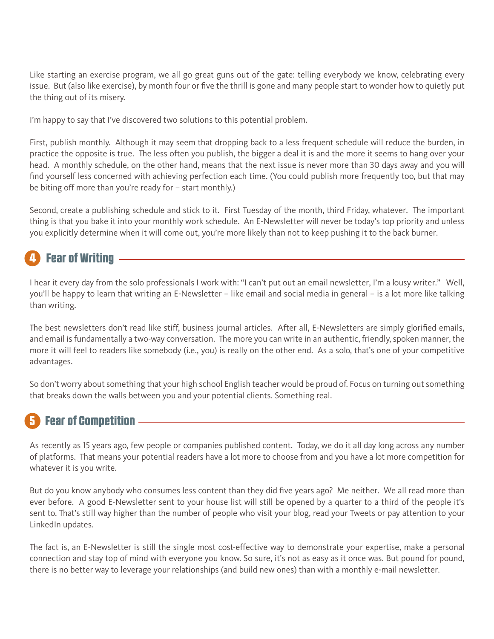Like starting an exercise program, we all go great guns out of the gate: telling everybody we know, celebrating every issue. But (also like exercise), by month four or five the thrill is gone and many people start to wonder how to quietly put the thing out of its misery.

I'm happy to say that I've discovered two solutions to this potential problem.

First, publish monthly. Although it may seem that dropping back to a less frequent schedule will reduce the burden, in practice the opposite is true. The less often you publish, the bigger a deal it is and the more it seems to hang over your head. A monthly schedule, on the other hand, means that the next issue is never more than 30 days away and you will find yourself less concerned with achieving perfection each time. (You could publish more frequently too, but that may be biting off more than you're ready for – start monthly.)

Second, create a publishing schedule and stick to it. First Tuesday of the month, third Friday, whatever. The important thing is that you bake it into your monthly work schedule. An E-Newsletter will never be today's top priority and unless you explicitly determine when it will come out, you're more likely than not to keep pushing it to the back burner.

# **Fear of Writing -**

I hear it every day from the solo professionals I work with: "I can't put out an email newsletter, I'm a lousy writer." Well, you'll be happy to learn that writing an E-Newsletter – like email and social media in general – is a lot more like talking than writing.

The best newsletters don't read like stiff, business journal articles. After all, E-Newsletters are simply glorified emails, and email is fundamentally a two-way conversation. The more you can write in an authentic, friendly, spoken manner, the more it will feel to readers like somebody (i.e., you) is really on the other end. As a solo, that's one of your competitive advantages.

So don't worry about something that your high school English teacher would be proud of. Focus on turning out something that breaks down the walls between you and your potential clients. Something real.

### **Fear of Competition -**

As recently as 15 years ago, few people or companies published content. Today, we do it all day long across any number of platforms. That means your potential readers have a lot more to choose from and you have a lot more competition for whatever it is you write.

But do you know anybody who consumes less content than they did five years ago? Me neither. We all read more than ever before. A good E-Newsletter sent to your house list will still be opened by a quarter to a third of the people it's sent to. That's still way higher than the number of people who visit your blog, read your Tweets or pay attention to your LinkedIn updates.

The fact is, an E-Newsletter is still the single most cost-effective way to demonstrate your expertise, make a personal connection and stay top of mind with everyone you know. So sure, it's not as easy as it once was. But pound for pound, there is no better way to leverage your relationships (and build new ones) than with a monthly e-mail newsletter.